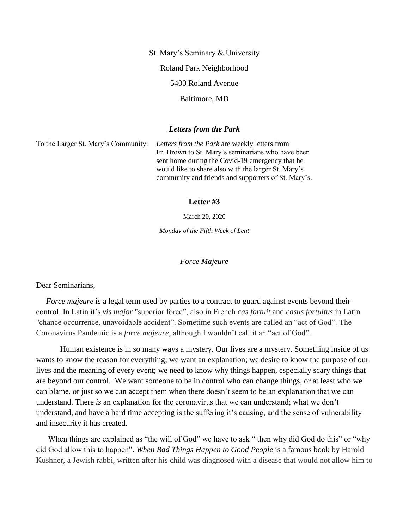St. Mary's Seminary & University Roland Park Neighborhood 5400 Roland Avenue Baltimore, MD

## *Letters from the Park*

To the Larger St. Mary's Community: *Letters from the Park* are weekly letters from Fr. Brown to St. Mary's seminarians who have been sent home during the Covid-19 emergency that he would like to share also with the larger St. Mary's community and friends and supporters of St. Mary's.

## **Letter #3**

March 20, 2020

*Monday of the Fifth Week of Lent*

*Force Majeure*

Dear Seminarians,

*Force majeure* is a legal term used by parties to a contract to guard against events beyond their control. In Latin it's *vis major* "superior force", also in French *cas fortuit* and *casus fortuitus* in Latin "chance occurrence, unavoidable accident". Sometime such events are called an "act of God". The Coronavirus Pandemic is a *force majeure*, although I wouldn't call it an "act of God".

 Human existence is in so many ways a mystery. Our lives are a mystery. Something inside of us wants to know the reason for everything; we want an explanation; we desire to know the purpose of our lives and the meaning of every event; we need to know why things happen, especially scary things that are beyond our control. We want someone to be in control who can change things, or at least who we can blame, or just so we can accept them when there doesn't seem to be an explanation that we can understand. There *is* an explanation for the coronavirus that we can understand; what we don't understand, and have a hard time accepting is the suffering it's causing, and the sense of vulnerability and insecurity it has created.

When things are explained as "the will of God" we have to ask " then why did God do this" or "why did God allow this to happen". *When Bad Things Happen to Good People* is a famous book by Harold Kushner, a Jewish rabbi, written after his child was diagnosed with a disease that would not allow him to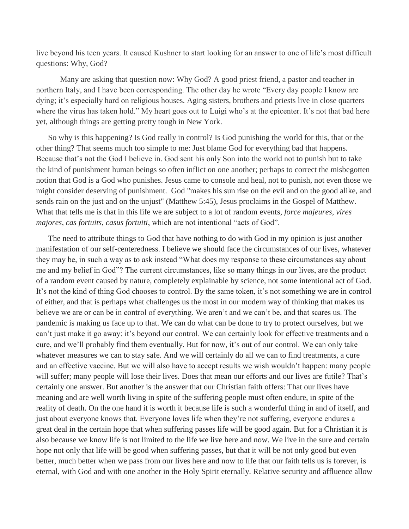live beyond his teen years. It caused Kushner to start looking for an answer to one of life's most difficult questions: Why, God?

 Many are asking that question now: Why God? A good priest friend, a pastor and teacher in northern Italy, and I have been corresponding. The other day he wrote "Every day people I know are dying; it's especially hard on religious houses. Aging sisters, brothers and priests live in close quarters where the virus has taken hold." My heart goes out to Luigi who's at the epicenter. It's not that bad here yet, although things are getting pretty tough in New York.

So why is this happening? Is God really in control? Is God punishing the world for this, that or the other thing? That seems much too simple to me: Just blame God for everything bad that happens. Because that's not the God I believe in. God sent his only Son into the world not to punish but to take the kind of punishment human beings so often inflict on one another; perhaps to correct the misbegotten notion that God is a God who punishes. Jesus came to console and heal, not to punish, not even those we might consider deserving of punishment. God "makes his sun rise on the evil and on the good alike, and sends rain on the just and on the unjust" (Matthew 5:45), Jesus proclaims in the Gospel of Matthew. What that tells me is that in this life we are subject to a lot of random events, *force majeures*, *vires majores*, *cas fortuits*, *casus fortuiti*, which are not intentional "acts of God".

The need to attribute things to God that have nothing to do with God in my opinion is just another manifestation of our self-centeredness. I believe we should face the circumstances of our lives, whatever they may be, in such a way as to ask instead "What does my response to these circumstances say about me and my belief in God"? The current circumstances, like so many things in our lives, are the product of a random event caused by nature, completely explainable by science, not some intentional act of God. It's not the kind of thing God chooses to control. By the same token, it's not something we are in control of either, and that is perhaps what challenges us the most in our modern way of thinking that makes us believe we are or can be in control of everything. We aren't and we can't be, and that scares us. The pandemic is making us face up to that. We can do what can be done to try to protect ourselves, but we can't just make it go away: it's beyond our control. We can certainly look for effective treatments and a cure, and we'll probably find them eventually. But for now, it's out of our control. We can only take whatever measures we can to stay safe. And we will certainly do all we can to find treatments, a cure and an effective vaccine. But we will also have to accept results we wish wouldn't happen: many people will suffer; many people will lose their lives. Does that mean our efforts and our lives are futile? That's certainly one answer. But another is the answer that our Christian faith offers: That our lives have meaning and are well worth living in spite of the suffering people must often endure, in spite of the reality of death. On the one hand it is worth it because life is such a wonderful thing in and of itself, and just about everyone knows that. Everyone loves life when they're not suffering, everyone endures a great deal in the certain hope that when suffering passes life will be good again. But for a Christian it is also because we know life is not limited to the life we live here and now. We live in the sure and certain hope not only that life will be good when suffering passes, but that it will be not only good but even better, much better when we pass from our lives here and now to life that our faith tells us is forever, is eternal, with God and with one another in the Holy Spirit eternally. Relative security and affluence allow